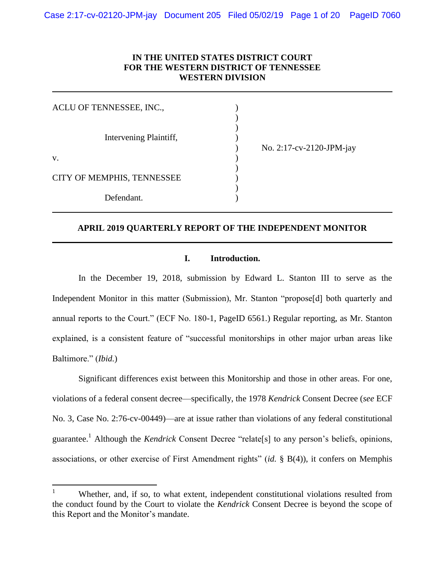### **IN THE UNITED STATES DISTRICT COURT FOR THE WESTERN DISTRICT OF TENNESSEE WESTERN DIVISION**

| ACLU OF TENNESSEE, INC.,   |                          |
|----------------------------|--------------------------|
| Intervening Plaintiff,     | No. 2:17-cv-2120-JPM-jay |
| V.                         |                          |
| CITY OF MEMPHIS, TENNESSEE |                          |
| Defendant.                 |                          |

### **APRIL 2019 QUARTERLY REPORT OF THE INDEPENDENT MONITOR**

#### **I. Introduction.**

In the December 19, 2018, submission by Edward L. Stanton III to serve as the Independent Monitor in this matter (Submission), Mr. Stanton "propose[d] both quarterly and annual reports to the Court." (ECF No. 180-1, PageID 6561.) Regular reporting, as Mr. Stanton explained, is a consistent feature of "successful monitorships in other major urban areas like Baltimore." (*Ibid.*)

Significant differences exist between this Monitorship and those in other areas. For one, violations of a federal consent decree—specifically, the 1978 *Kendrick* Consent Decree (*see* ECF No. 3, Case No. 2:76-cv-00449)—are at issue rather than violations of any federal constitutional guarantee.<sup>1</sup> Although the *Kendrick* Consent Decree "relate[s] to any person's beliefs, opinions, associations, or other exercise of First Amendment rights" (*id.* § B(4)), it confers on Memphis

 $\mathbf{1}$ <sup>1</sup> Whether, and, if so, to what extent, independent constitutional violations resulted from the conduct found by the Court to violate the *Kendrick* Consent Decree is beyond the scope of this Report and the Monitor's mandate.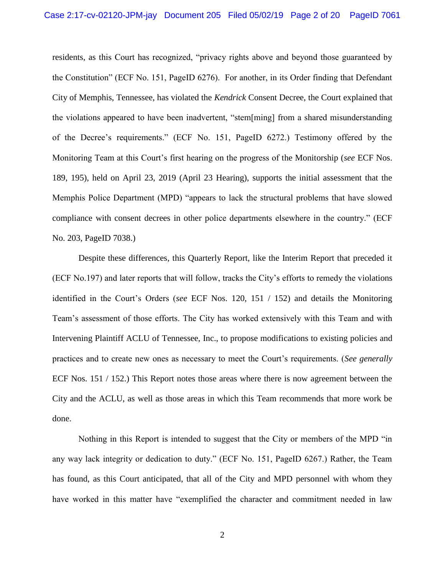residents, as this Court has recognized, "privacy rights above and beyond those guaranteed by the Constitution" (ECF No. 151, PageID 6276). For another, in its Order finding that Defendant City of Memphis, Tennessee, has violated the *Kendrick* Consent Decree, the Court explained that the violations appeared to have been inadvertent, "stem[ming] from a shared misunderstanding of the Decree's requirements." (ECF No. 151, PageID 6272.) Testimony offered by the Monitoring Team at this Court's first hearing on the progress of the Monitorship (*see* ECF Nos. 189, 195), held on April 23, 2019 (April 23 Hearing), supports the initial assessment that the Memphis Police Department (MPD) "appears to lack the structural problems that have slowed compliance with consent decrees in other police departments elsewhere in the country." (ECF No. 203, PageID 7038.)

Despite these differences, this Quarterly Report, like the Interim Report that preceded it (ECF No.197) and later reports that will follow, tracks the City's efforts to remedy the violations identified in the Court's Orders (*see* ECF Nos. 120, 151 / 152) and details the Monitoring Team's assessment of those efforts. The City has worked extensively with this Team and with Intervening Plaintiff ACLU of Tennessee, Inc., to propose modifications to existing policies and practices and to create new ones as necessary to meet the Court's requirements. (*See generally* ECF Nos. 151 / 152.) This Report notes those areas where there is now agreement between the City and the ACLU, as well as those areas in which this Team recommends that more work be done.

Nothing in this Report is intended to suggest that the City or members of the MPD "in any way lack integrity or dedication to duty." (ECF No. 151, PageID 6267.) Rather, the Team has found, as this Court anticipated, that all of the City and MPD personnel with whom they have worked in this matter have "exemplified the character and commitment needed in law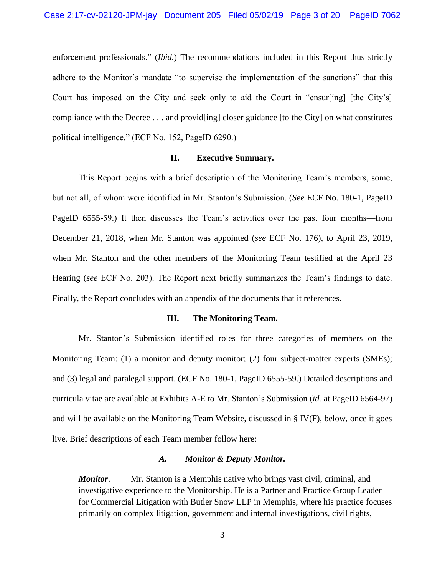enforcement professionals." (*Ibid.*) The recommendations included in this Report thus strictly adhere to the Monitor's mandate "to supervise the implementation of the sanctions" that this Court has imposed on the City and seek only to aid the Court in "ensur[ing] [the City's] compliance with the Decree . . . and provid[ing] closer guidance [to the City] on what constitutes political intelligence." (ECF No. 152, PageID 6290.)

#### **II. Executive Summary.**

This Report begins with a brief description of the Monitoring Team's members, some, but not all, of whom were identified in Mr. Stanton's Submission. (*See* ECF No. 180-1, PageID PageID 6555-59.) It then discusses the Team's activities over the past four months—from December 21, 2018, when Mr. Stanton was appointed (*see* ECF No. 176), to April 23, 2019, when Mr. Stanton and the other members of the Monitoring Team testified at the April 23 Hearing (*see* ECF No. 203). The Report next briefly summarizes the Team's findings to date. Finally, the Report concludes with an appendix of the documents that it references.

#### **III. The Monitoring Team.**

Mr. Stanton's Submission identified roles for three categories of members on the Monitoring Team: (1) a monitor and deputy monitor; (2) four subject-matter experts (SMEs); and (3) legal and paralegal support. (ECF No. 180-1, PageID 6555-59.) Detailed descriptions and curricula vitae are available at Exhibits A-E to Mr. Stanton's Submission (*id.* at PageID 6564-97) and will be available on the Monitoring Team Website, discussed in § IV(F), below, once it goes live. Brief descriptions of each Team member follow here:

#### *A. Monitor & Deputy Monitor.*

*Monitor*. Mr. Stanton is a Memphis native who brings vast civil, criminal, and investigative experience to the Monitorship. He is a Partner and Practice Group Leader for Commercial Litigation with Butler Snow LLP in Memphis, where his practice focuses primarily on complex litigation, government and internal investigations, civil rights,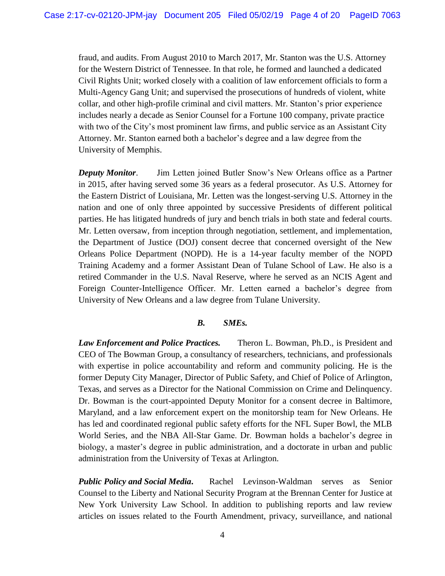fraud, and audits. From August 2010 to March 2017, Mr. Stanton was the U.S. Attorney for the Western District of Tennessee. In that role, he formed and launched a dedicated Civil Rights Unit; worked closely with a coalition of law enforcement officials to form a Multi-Agency Gang Unit; and supervised the prosecutions of hundreds of violent, white collar, and other high-profile criminal and civil matters. Mr. Stanton's prior experience includes nearly a decade as Senior Counsel for a Fortune 100 company, private practice with two of the City's most prominent law firms, and public service as an Assistant City Attorney. Mr. Stanton earned both a bachelor's degree and a law degree from the University of Memphis.

*Deputy Monitor*. Jim Letten joined Butler Snow's New Orleans office as a Partner in 2015, after having served some 36 years as a federal prosecutor. As U.S. Attorney for the Eastern District of Louisiana, Mr. Letten was the longest-serving U.S. Attorney in the nation and one of only three appointed by successive Presidents of different political parties. He has litigated hundreds of jury and bench trials in both state and federal courts. Mr. Letten oversaw, from inception through negotiation, settlement, and implementation, the Department of Justice (DOJ) consent decree that concerned oversight of the New Orleans Police Department (NOPD). He is a 14-year faculty member of the NOPD Training Academy and a former Assistant Dean of Tulane School of Law. He also is a retired Commander in the U.S. Naval Reserve, where he served as an NCIS Agent and Foreign Counter-Intelligence Officer. Mr. Letten earned a bachelor's degree from University of New Orleans and a law degree from Tulane University.

### *B. SMEs.*

*Law Enforcement and Police Practices.* Theron L. Bowman, Ph.D., is President and CEO of The Bowman Group, a consultancy of researchers, technicians, and professionals with expertise in police accountability and reform and community policing. He is the former Deputy City Manager, Director of Public Safety, and Chief of Police of Arlington, Texas, and serves as a Director for the National Commission on Crime and Delinquency. Dr. Bowman is the court-appointed Deputy Monitor for a consent decree in Baltimore, Maryland, and a law enforcement expert on the monitorship team for New Orleans. He has led and coordinated regional public safety efforts for the NFL Super Bowl, the MLB World Series, and the NBA All-Star Game. Dr. Bowman holds a bachelor's degree in biology, a master's degree in public administration, and a doctorate in urban and public administration from the University of Texas at Arlington.

*Public Policy and Social Media***.** Rachel Levinson-Waldman serves as Senior Counsel to the Liberty and National Security Program at the Brennan Center for Justice at New York University Law School. In addition to publishing reports and law review articles on issues related to the Fourth Amendment, privacy, surveillance, and national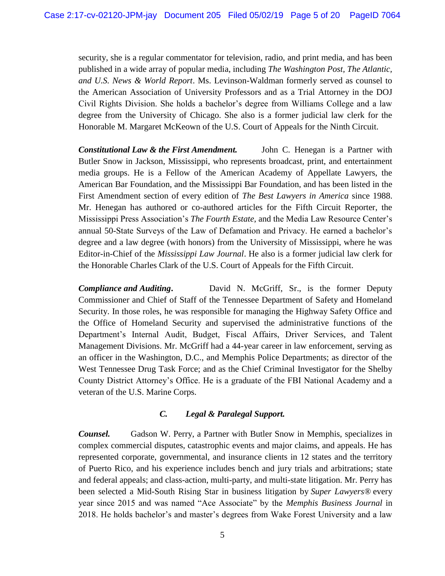security, she is a regular commentator for television, radio, and print media, and has been published in a wide array of popular media, including *The Washington Post, The Atlantic, and U.S. News & World Report*. Ms. Levinson-Waldman formerly served as counsel to the American Association of University Professors and as a Trial Attorney in the DOJ Civil Rights Division. She holds a bachelor's degree from Williams College and a law degree from the University of Chicago. She also is a former judicial law clerk for the Honorable M. Margaret McKeown of the U.S. Court of Appeals for the Ninth Circuit.

*Constitutional Law & the First Amendment.* John C. Henegan is a Partner with Butler Snow in Jackson, Mississippi, who represents broadcast, print, and entertainment media groups. He is a Fellow of the American Academy of Appellate Lawyers, the American Bar Foundation, and the Mississippi Bar Foundation, and has been listed in the First Amendment section of every edition of *The Best Lawyers in America* since 1988. Mr. Henegan has authored or co-authored articles for the Fifth Circuit Reporter, the Mississippi Press Association's *The Fourth Estate*, and the Media Law Resource Center's annual 50-State Surveys of the Law of Defamation and Privacy. He earned a bachelor's degree and a law degree (with honors) from the University of Mississippi, where he was Editor-in-Chief of the *Mississippi Law Journal*. He also is a former judicial law clerk for the Honorable Charles Clark of the U.S. Court of Appeals for the Fifth Circuit.

**Compliance and Auditing.** David N. McGriff, Sr., is the former Deputy Commissioner and Chief of Staff of the Tennessee Department of Safety and Homeland Security. In those roles, he was responsible for managing the Highway Safety Office and the Office of Homeland Security and supervised the administrative functions of the Department's Internal Audit, Budget, Fiscal Affairs, Driver Services, and Talent Management Divisions. Mr. McGriff had a 44-year career in law enforcement, serving as an officer in the Washington, D.C., and Memphis Police Departments; as director of the West Tennessee Drug Task Force; and as the Chief Criminal Investigator for the Shelby County District Attorney's Office. He is a graduate of the FBI National Academy and a veteran of the U.S. Marine Corps.

## *C. Legal & Paralegal Support.*

*Counsel.* Gadson W. Perry, a Partner with Butler Snow in Memphis, specializes in complex commercial disputes, catastrophic events and major claims, and appeals. He has represented corporate, governmental, and insurance clients in 12 states and the territory of Puerto Rico, and his experience includes bench and jury trials and arbitrations; state and federal appeals; and class-action, multi-party, and multi-state litigation. Mr. Perry has been selected a Mid-South Rising Star in business litigation by *Super Lawyers®* every year since 2015 and was named "Ace Associate" by the *Memphis Business Journal* in 2018. He holds bachelor's and master's degrees from Wake Forest University and a law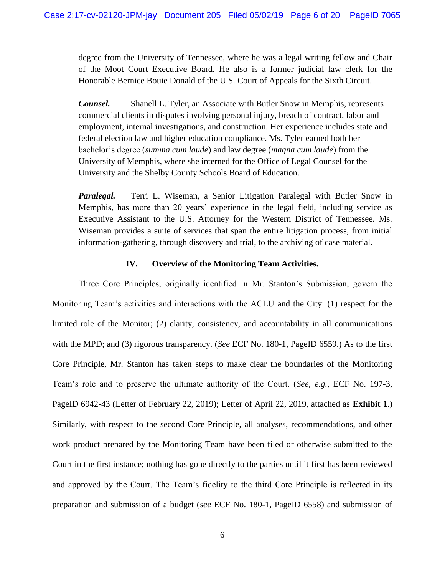degree from the University of Tennessee, where he was a legal writing fellow and Chair of the Moot Court Executive Board. He also is a former judicial law clerk for the Honorable Bernice Bouie Donald of the U.S. Court of Appeals for the Sixth Circuit.

*Counsel.* Shanell L. Tyler, an Associate with Butler Snow in Memphis, represents commercial clients in disputes involving personal injury, breach of contract, labor and employment, internal investigations, and construction. Her experience includes state and federal election law and higher education compliance. Ms. Tyler earned both her bachelor's degree (*summa cum laude*) and law degree (*magna cum laude*) from the University of Memphis, where she interned for the Office of Legal Counsel for the University and the Shelby County Schools Board of Education.

*Paralegal.* Terri L. Wiseman, a Senior Litigation Paralegal with Butler Snow in Memphis, has more than 20 years' experience in the legal field, including service as Executive Assistant to the U.S. Attorney for the Western District of Tennessee. Ms. Wiseman provides a suite of services that span the entire litigation process, from initial information-gathering, through discovery and trial, to the archiving of case material.

### **IV. Overview of the Monitoring Team Activities.**

Three Core Principles, originally identified in Mr. Stanton's Submission, govern the Monitoring Team's activities and interactions with the ACLU and the City: (1) respect for the limited role of the Monitor; (2) clarity, consistency, and accountability in all communications with the MPD; and (3) rigorous transparency. (*See* ECF No. 180-1, PageID 6559.) As to the first Core Principle, Mr. Stanton has taken steps to make clear the boundaries of the Monitoring Team's role and to preserve the ultimate authority of the Court. (*See, e.g.,* ECF No. 197-3, PageID 6942-43 (Letter of February 22, 2019); Letter of April 22, 2019, attached as **Exhibit 1**.) Similarly, with respect to the second Core Principle, all analyses, recommendations, and other work product prepared by the Monitoring Team have been filed or otherwise submitted to the Court in the first instance; nothing has gone directly to the parties until it first has been reviewed and approved by the Court. The Team's fidelity to the third Core Principle is reflected in its preparation and submission of a budget (*see* ECF No. 180-1, PageID 6558) and submission of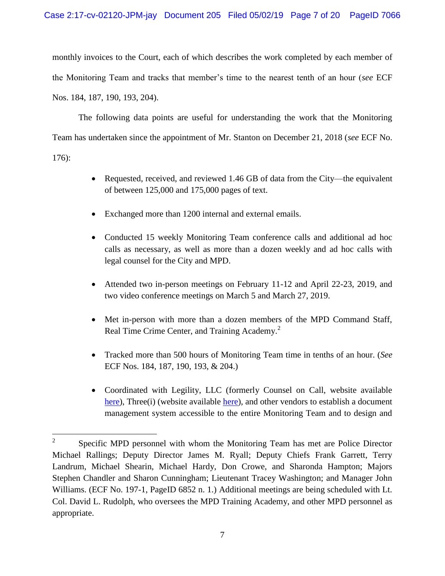monthly invoices to the Court, each of which describes the work completed by each member of the Monitoring Team and tracks that member's time to the nearest tenth of an hour (*see* ECF Nos. 184, 187, 190, 193, 204).

The following data points are useful for understanding the work that the Monitoring Team has undertaken since the appointment of Mr. Stanton on December 21, 2018 (*see* ECF No. 176):

- Requested, received, and reviewed 1.46 GB of data from the City—the equivalent of between 125,000 and 175,000 pages of text.
- Exchanged more than 1200 internal and external emails.
- Conducted 15 weekly Monitoring Team conference calls and additional ad hoc calls as necessary, as well as more than a dozen weekly and ad hoc calls with legal counsel for the City and MPD.
- Attended two in-person meetings on February 11-12 and April 22-23, 2019, and two video conference meetings on March 5 and March 27, 2019.
- Met in-person with more than a dozen members of the MPD Command Staff, Real Time Crime Center, and Training Academy.<sup>2</sup>
- Tracked more than 500 hours of Monitoring Team time in tenths of an hour. (*See* ECF Nos. 184, 187, 190, 193, & 204.)
- Coordinated with Legility, LLC (formerly Counsel on Call, website available [here\)](https://legility.com/), Three(i) (website available [here\)](https://www.weare3i.com/), and other vendors to establish a document management system accessible to the entire Monitoring Team and to design and

 $\frac{1}{2}$ Specific MPD personnel with whom the Monitoring Team has met are Police Director Michael Rallings; Deputy Director James M. Ryall; Deputy Chiefs Frank Garrett, Terry Landrum, Michael Shearin, Michael Hardy, Don Crowe, and Sharonda Hampton; Majors Stephen Chandler and Sharon Cunningham; Lieutenant Tracey Washington; and Manager John Williams. (ECF No. 197-1, PageID 6852 n. 1.) Additional meetings are being scheduled with Lt. Col. David L. Rudolph, who oversees the MPD Training Academy, and other MPD personnel as appropriate.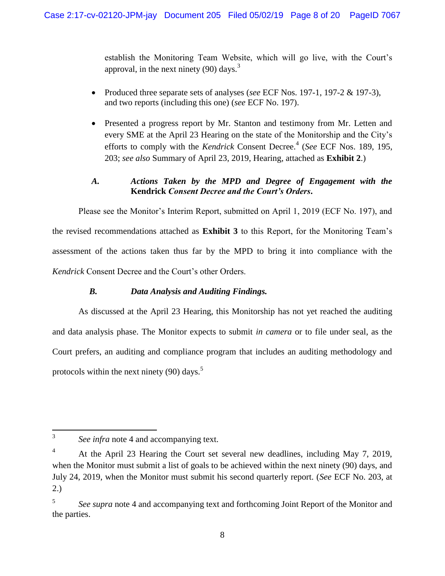establish the Monitoring Team Website, which will go live, with the Court's approval, in the next ninety  $(90)$  days.<sup>3</sup>

- Produced three separate sets of analyses (*see* ECF Nos. 197-1, 197-2 & 197-3), and two reports (including this one) (*see* ECF No. 197).
- Presented a progress report by Mr. Stanton and testimony from Mr. Letten and every SME at the April 23 Hearing on the state of the Monitorship and the City's efforts to comply with the *Kendrick* Consent Decree.<sup>4</sup> (*See* ECF Nos. 189, 195, 203; *see also* Summary of April 23, 2019, Hearing, attached as **Exhibit 2**.)

# *A. Actions Taken by the MPD and Degree of Engagement with the* **Kendrick** *Consent Decree and the Court's Orders***.**

Please see the Monitor's Interim Report, submitted on April 1, 2019 (ECF No. 197), and the revised recommendations attached as **Exhibit 3** to this Report, for the Monitoring Team's assessment of the actions taken thus far by the MPD to bring it into compliance with the *Kendrick* Consent Decree and the Court's other Orders.

# *B. Data Analysis and Auditing Findings.*

As discussed at the April 23 Hearing, this Monitorship has not yet reached the auditing and data analysis phase. The Monitor expects to submit *in camera* or to file under seal, as the Court prefers, an auditing and compliance program that includes an auditing methodology and protocols within the next ninety  $(90)$  days.<sup>5</sup>

<sup>3</sup> *See infra* note 4 and accompanying text.

<sup>&</sup>lt;sup>4</sup> At the April 23 Hearing the Court set several new deadlines, including May 7, 2019, when the Monitor must submit a list of goals to be achieved within the next ninety (90) days, and July 24, 2019, when the Monitor must submit his second quarterly report. (*See* ECF No. 203, at 2.)

<sup>5</sup> *See supra* note 4 and accompanying text and forthcoming Joint Report of the Monitor and the parties.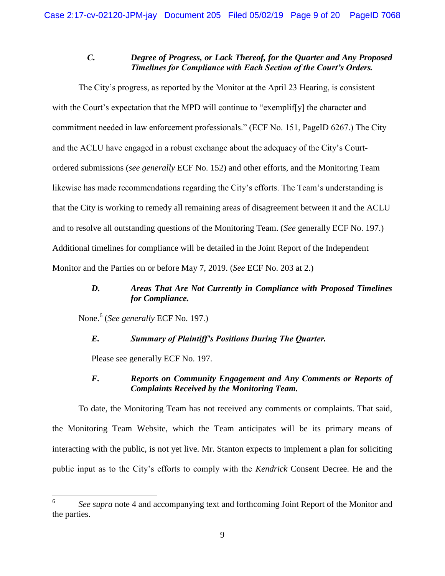### *C. Degree of Progress, or Lack Thereof, for the Quarter and Any Proposed Timelines for Compliance with Each Section of the Court's Orders.*

The City's progress, as reported by the Monitor at the April 23 Hearing, is consistent with the Court's expectation that the MPD will continue to "exemplif[y] the character and commitment needed in law enforcement professionals." (ECF No. 151, PageID 6267.) The City and the ACLU have engaged in a robust exchange about the adequacy of the City's Courtordered submissions (*see generally* ECF No. 152) and other efforts, and the Monitoring Team likewise has made recommendations regarding the City's efforts. The Team's understanding is that the City is working to remedy all remaining areas of disagreement between it and the ACLU and to resolve all outstanding questions of the Monitoring Team. (*See* generally ECF No. 197.) Additional timelines for compliance will be detailed in the Joint Report of the Independent Monitor and the Parties on or before May 7, 2019. (*See* ECF No. 203 at 2.)

## *D. Areas That Are Not Currently in Compliance with Proposed Timelines for Compliance.*

None.<sup>6</sup> (*See generally* ECF No. 197.)

## *E. Summary of Plaintiff's Positions During The Quarter.*

Please see generally ECF No. 197.

### *F. Reports on Community Engagement and Any Comments or Reports of Complaints Received by the Monitoring Team.*

To date, the Monitoring Team has not received any comments or complaints. That said, the Monitoring Team Website, which the Team anticipates will be its primary means of interacting with the public, is not yet live. Mr. Stanton expects to implement a plan for soliciting public input as to the City's efforts to comply with the *Kendrick* Consent Decree. He and the

<sup>6</sup> *See supra* note 4 and accompanying text and forthcoming Joint Report of the Monitor and the parties.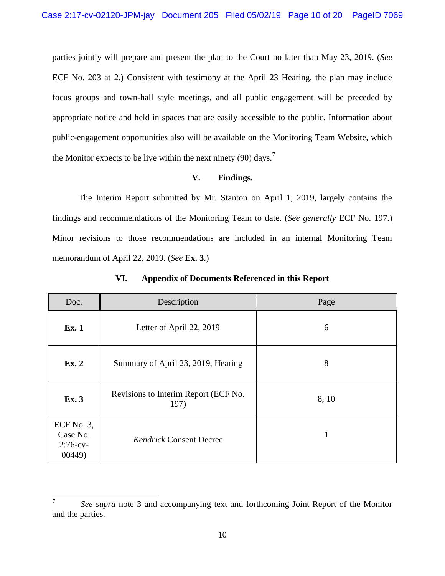parties jointly will prepare and present the plan to the Court no later than May 23, 2019. (*See*  ECF No. 203 at 2.) Consistent with testimony at the April 23 Hearing, the plan may include focus groups and town-hall style meetings, and all public engagement will be preceded by appropriate notice and held in spaces that are easily accessible to the public. Information about public-engagement opportunities also will be available on the Monitoring Team Website, which the Monitor expects to be live within the next ninety (90) days.<sup>7</sup>

### **V. Findings.**

The Interim Report submitted by Mr. Stanton on April 1, 2019, largely contains the findings and recommendations of the Monitoring Team to date. (*See generally* ECF No. 197.) Minor revisions to those recommendations are included in an internal Monitoring Team memorandum of April 22, 2019. (*See* **Ex. 3**.)

| Doc.                                               | Description                                  | Page  |
|----------------------------------------------------|----------------------------------------------|-------|
| <b>Ex. 1</b>                                       | Letter of April 22, 2019                     | 6     |
| Ex. 2                                              | Summary of April 23, 2019, Hearing           | 8     |
| Ex. 3                                              | Revisions to Interim Report (ECF No.<br>197) | 8, 10 |
| ECF No. $3$ ,<br>Case No.<br>$2:76$ -cv-<br>00449) | <b>Kendrick Consent Decree</b>               |       |

**VI. Appendix of Documents Referenced in this Report**

<sup>7</sup> *See supra* note 3 and accompanying text and forthcoming Joint Report of the Monitor and the parties.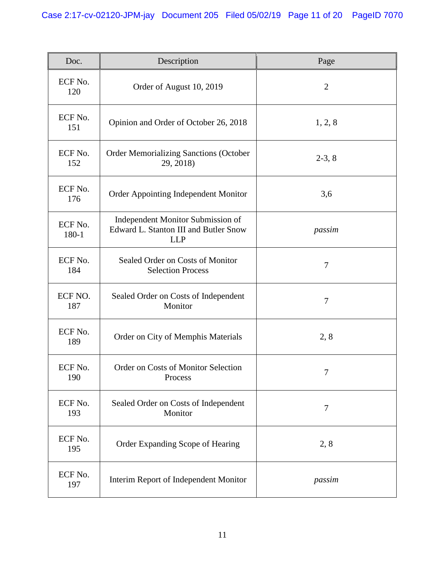| Doc.             | Description                                                                              | Page           |
|------------------|------------------------------------------------------------------------------------------|----------------|
| ECF No.<br>120   | Order of August 10, 2019                                                                 | $\overline{2}$ |
| ECF No.<br>151   | Opinion and Order of October 26, 2018                                                    | 1, 2, 8        |
| ECF No.<br>152   | <b>Order Memorializing Sanctions (October</b><br>29, 2018)                               | $2-3, 8$       |
| ECF No.<br>176   | Order Appointing Independent Monitor                                                     | 3,6            |
| ECF No.<br>180-1 | Independent Monitor Submission of<br>Edward L. Stanton III and Butler Snow<br><b>LLP</b> | passim         |
| ECF No.<br>184   | Sealed Order on Costs of Monitor<br><b>Selection Process</b>                             | 7              |
| ECF NO.<br>187   | Sealed Order on Costs of Independent<br>Monitor                                          | $\tau$         |
| ECF No.<br>189   | Order on City of Memphis Materials                                                       | 2, 8           |
| ECF No.<br>190   | Order on Costs of Monitor Selection<br>Process                                           | 7              |
| ECF No.<br>193   | Sealed Order on Costs of Independent<br>Monitor                                          | 7              |
| ECF No.<br>195   | Order Expanding Scope of Hearing                                                         | 2, 8           |
| ECF No.<br>197   | Interim Report of Independent Monitor                                                    | passim         |